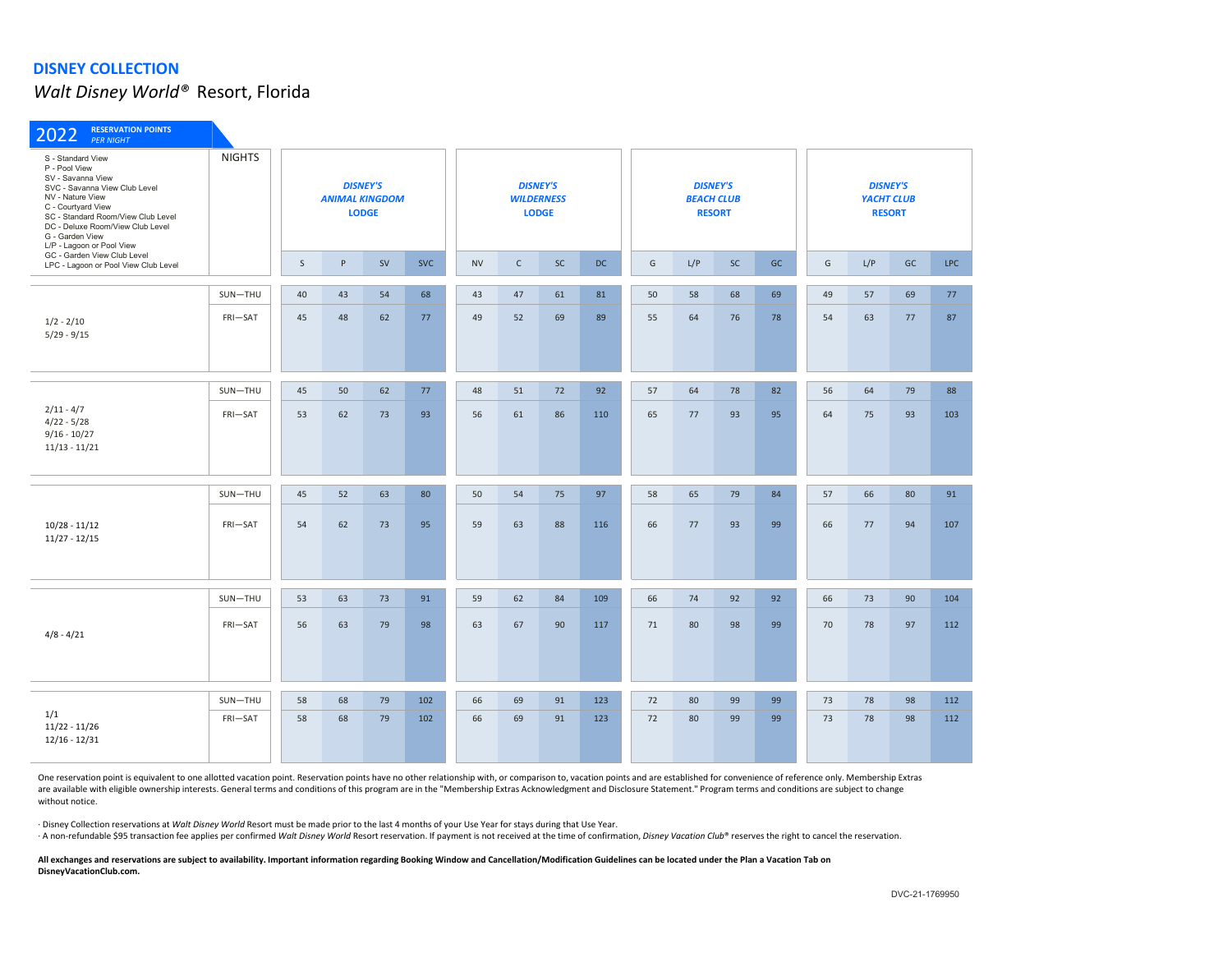*Walt Disney World®* Resort, Florida

| <b>RESERVATION POINTS</b><br>2022<br><b>PER NIGHT</b>                                                                                                                                                                                                        |               |    |                       |                                 |            |           |              |                                                      |     |    |     |                                                       |    |                                                |     |    |            |  |
|--------------------------------------------------------------------------------------------------------------------------------------------------------------------------------------------------------------------------------------------------------------|---------------|----|-----------------------|---------------------------------|------------|-----------|--------------|------------------------------------------------------|-----|----|-----|-------------------------------------------------------|----|------------------------------------------------|-----|----|------------|--|
| S - Standard View<br>P - Pool View<br>SV - Savanna View<br>SVC - Savanna View Club Level<br>NV - Nature View<br>C - Courtyard View<br>SC - Standard Room/View Club Level<br>DC - Deluxe Room/View Club Level<br>G - Garden View<br>L/P - Lagoon or Pool View | <b>NIGHTS</b> |    | <b>ANIMAL KINGDOM</b> | <b>DISNEY'S</b><br><b>LODGE</b> |            |           |              | <b>DISNEY'S</b><br><b>WILDERNESS</b><br><b>LODGE</b> |     |    |     | <b>DISNEY'S</b><br><b>BEACH CLUB</b><br><b>RESORT</b> |    | <b>DISNEY'S</b><br>YACHT CLUB<br><b>RESORT</b> |     |    |            |  |
| GC - Garden View Club Level<br>LPC - Lagoon or Pool View Club Level                                                                                                                                                                                          |               | S  | P                     | <b>SV</b>                       | <b>SVC</b> | <b>NV</b> | $\mathsf{C}$ | <b>SC</b>                                            | DC  | G  | L/P | <b>SC</b>                                             | GC | G                                              | L/P | GC | <b>LPC</b> |  |
| $1/2 - 2/10$<br>$5/29 - 9/15$                                                                                                                                                                                                                                | SUN-THU       | 40 | 43                    | 54                              | 68         | 43        | 47           | 61                                                   | 81  | 50 | 58  | 68                                                    | 69 | 49                                             | 57  | 69 | 77         |  |
|                                                                                                                                                                                                                                                              | FRI-SAT       | 45 | 48                    | 62                              | 77         | 49        | 52           | 69                                                   | 89  | 55 | 64  | 76                                                    | 78 | 54                                             | 63  | 77 | 87         |  |
| $2/11 - 4/7$<br>$4/22 - 5/28$<br>$9/16 - 10/27$<br>$11/13 - 11/21$                                                                                                                                                                                           | SUN-THU       | 45 | 50                    | 62                              | 77         | 48        | 51           | 72                                                   | 92  | 57 | 64  | 78                                                    | 82 | 56                                             | 64  | 79 | 88         |  |
|                                                                                                                                                                                                                                                              | FRI-SAT       | 53 | 62                    | 73                              | 93         | 56        | 61           | 86                                                   | 110 | 65 | 77  | 93                                                    | 95 | 64                                             | 75  | 93 | 103        |  |
|                                                                                                                                                                                                                                                              | SUN-THU       | 45 | 52                    | 63                              | 80         | 50        | 54           | 75                                                   | 97  | 58 | 65  | 79                                                    | 84 | 57                                             | 66  | 80 | 91         |  |
| $10/28 - 11/12$<br>$11/27 - 12/15$                                                                                                                                                                                                                           | FRI-SAT       | 54 | 62                    | 73                              | 95         | 59        | 63           | 88                                                   | 116 | 66 | 77  | 93                                                    | 99 | 66                                             | 77  | 94 | 107        |  |
|                                                                                                                                                                                                                                                              | SUN-THU       | 53 | 63                    | 73                              | 91         | 59        | 62           | 84                                                   | 109 | 66 | 74  | 92                                                    | 92 | 66                                             | 73  | 90 | 104        |  |
| $4/8 - 4/21$                                                                                                                                                                                                                                                 | FRI-SAT       | 56 | 63                    | 79                              | 98         | 63        | 67           | 90                                                   | 117 | 71 | 80  | 98                                                    | 99 | 70                                             | 78  | 97 | 112        |  |
|                                                                                                                                                                                                                                                              | SUN-THU       | 58 | 68                    | 79                              | 102        | 66        | 69           | 91                                                   | 123 | 72 | 80  | 99                                                    | 99 | 73                                             | 78  | 98 | 112        |  |
| 1/1<br>$11/22 - 11/26$<br>$12/16 - 12/31$                                                                                                                                                                                                                    | FRI-SAT       | 58 | 68                    | 79                              | 102        | 66        | 69           | 91                                                   | 123 | 72 | 80  | 99                                                    | 99 | 73                                             | 78  | 98 | 112        |  |

One reservation point is equivalent to one allotted vacation point. Reservation points have no other relationship with, or comparison to, vacation points and are established for convenience of reference only. Membership Ex are available with eligible ownership interests. General terms and conditions of this program are in the "Membership Extras Acknowledgment and Disclosure Statement." Program terms and conditions are subject to change without notice.

· Disney Collection reservations at *Walt Disney World* Resort must be made prior to the last 4 months of your Use Year for stays during that Use Year.

A non-refundable \$95 transaction fee applies per confirmed Walt Disney World Resort reservation. If payment is not received at the time of confirmation, Disney Vacation Club® reserves the right to cancel the reservation.

**All exchanges and reservations are subject to availability. Important information regarding Booking Window and Cancellation/Modification Guidelines can be located under the Plan a Vacation Tab on DisneyVacationClub.com.**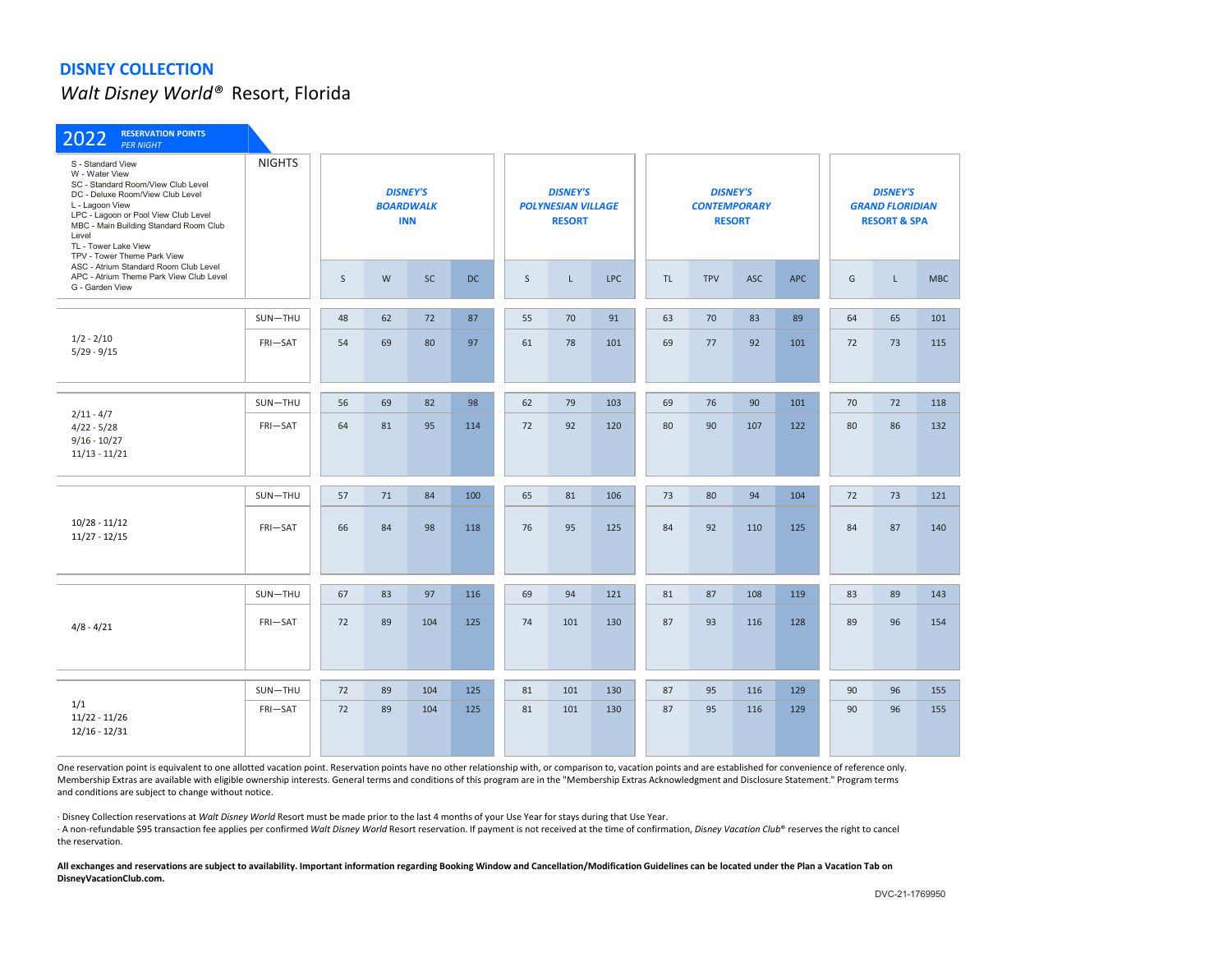*Walt Disney World®* Resort, Florida

| <b>RESERVATION POINTS</b><br>2022<br><b>PER NIGHT</b>                                                                                                                                                                                                                              |               |              |           |                                                   |           |    |                                                               |            |     |            |                                                         |                                                                      |    |             |            |
|------------------------------------------------------------------------------------------------------------------------------------------------------------------------------------------------------------------------------------------------------------------------------------|---------------|--------------|-----------|---------------------------------------------------|-----------|----|---------------------------------------------------------------|------------|-----|------------|---------------------------------------------------------|----------------------------------------------------------------------|----|-------------|------------|
| S - Standard View<br>W - Water View<br>SC - Standard Room/View Club Level<br>DC - Deluxe Room/View Club Level<br>L - Lagoon View<br>LPC - Lagoon or Pool View Club Level<br>MBC - Main Building Standard Room Club<br>Level<br>TL - Tower Lake View<br>TPV - Tower Theme Park View | <b>NIGHTS</b> |              |           | <b>DISNEY'S</b><br><b>BOARDWALK</b><br><b>INN</b> |           |    | <b>DISNEY'S</b><br><b>POLYNESIAN VILLAGE</b><br><b>RESORT</b> |            |     |            | <b>DISNEY'S</b><br><b>CONTEMPORARY</b><br><b>RESORT</b> | <b>DISNEY'S</b><br><b>GRAND FLORIDIAN</b><br><b>RESORT &amp; SPA</b> |    |             |            |
| ASC - Atrium Standard Room Club Level<br>APC - Atrium Theme Park View Club Level<br>G - Garden View                                                                                                                                                                                |               | $\mathsf{S}$ | ${\sf W}$ | <b>SC</b>                                         | <b>DC</b> | S  | $\mathsf L$                                                   | <b>LPC</b> | TL. | <b>TPV</b> | <b>ASC</b>                                              | <b>APC</b>                                                           | G  | $\mathsf L$ | <b>MBC</b> |
|                                                                                                                                                                                                                                                                                    | SUN-THU       | 48           | 62        | 72                                                | 87        | 55 | 70                                                            | 91         | 63  | 70         | 83                                                      | 89                                                                   | 64 | 65          | 101        |
| $1/2 - 2/10$<br>$5/29 - 9/15$                                                                                                                                                                                                                                                      | FRI-SAT       | 54           | 69        | 80                                                | 97        | 61 | 78                                                            | 101        | 69  | 77         | 92                                                      | 101                                                                  | 72 | 73          | 115        |
| $2/11 - 4/7$<br>$4/22 - 5/28$<br>$9/16 - 10/27$<br>$11/13 - 11/21$                                                                                                                                                                                                                 | SUN-THU       | 56           | 69        | 82                                                | 98        | 62 | 79                                                            | 103        | 69  | 76         | 90                                                      | 101                                                                  | 70 | 72          | 118        |
|                                                                                                                                                                                                                                                                                    | FRI-SAT       | 64           | 81        | 95                                                | 114       | 72 | 92                                                            | 120        | 80  | 90         | 107                                                     | 122                                                                  | 80 | 86          | 132        |
|                                                                                                                                                                                                                                                                                    | SUN-THU       | 57           | 71        | 84                                                | 100       | 65 | 81                                                            | 106        | 73  | 80         | 94                                                      | 104                                                                  | 72 | 73          | 121        |
| $10/28 - 11/12$<br>$11/27 - 12/15$                                                                                                                                                                                                                                                 | FRI-SAT       | 66           | 84        | 98                                                | 118       | 76 | 95                                                            | 125        | 84  | 92         | 110                                                     | 125                                                                  | 84 | 87          | 140        |
|                                                                                                                                                                                                                                                                                    | SUN-THU       | 67           | 83        | 97                                                | 116       | 69 | 94                                                            | 121        | 81  | 87         | 108                                                     | 119                                                                  | 83 | 89          | 143        |
| $4/8 - 4/21$                                                                                                                                                                                                                                                                       | FRI-SAT       | 72           | 89        | 104                                               | 125       | 74 | 101                                                           | 130        | 87  | 93         | 116                                                     | 128                                                                  | 89 | 96          | 154        |
|                                                                                                                                                                                                                                                                                    | SUN-THU       | 72           | 89        | 104                                               | 125       | 81 | 101                                                           | 130        | 87  | 95         | 116                                                     | 129                                                                  | 90 | 96          | 155        |
| 1/1<br>$11/22 - 11/26$<br>$12/16 - 12/31$                                                                                                                                                                                                                                          | FRI-SAT       | 72           | 89        | 104                                               | 125       | 81 | 101                                                           | 130        | 87  | 95         | 116                                                     | 129                                                                  | 90 | 96          | 155        |

One reservation point is equivalent to one allotted vacation point. Reservation points have no other relationship with, or comparison to, vacation points and are established for convenience of reference only. Membership Extras are available with eligible ownership interests. General terms and conditions of this program are in the "Membership Extras Acknowledgment and Disclosure Statement." Program terms and conditions are subject to change without notice.

· Disney Collection reservations at *Walt Disney World* Resort must be made prior to the last 4 months of your Use Year for stays during that Use Year.

· A non-refundable \$95 transaction fee applies per confirmed *Walt Disney World* Resort reservation. If payment is not received at the time of confirmation, *Disney Vacation Club*® reserves the right to cancel the reservation.

**All exchanges and reservations are subject to availability. Important information regarding Booking Window and Cancellation/Modification Guidelines can be located under the Plan a Vacation Tab on DisneyVacationClub.com.**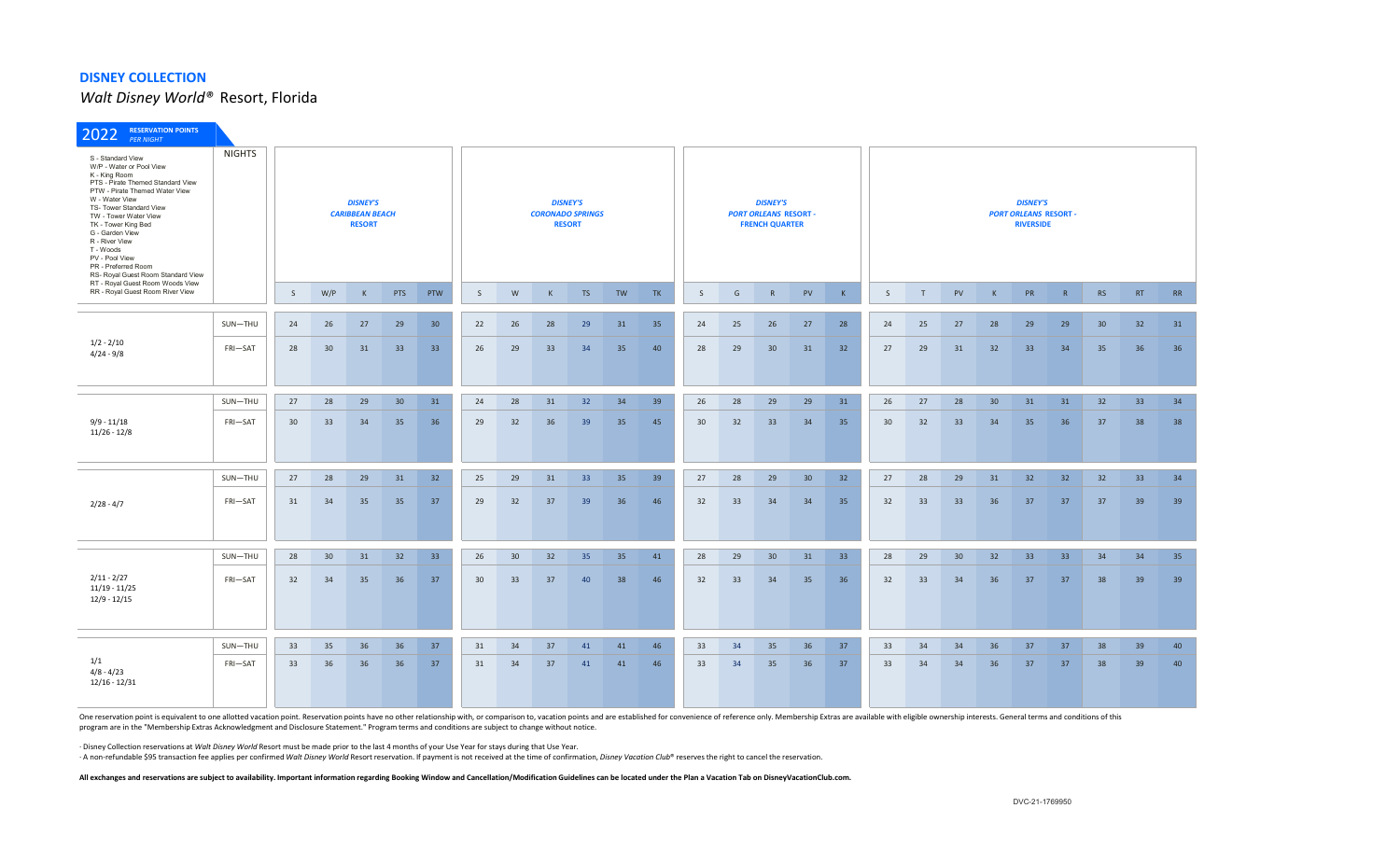*Walt Disney World®* Resort, Florida

| <b>RESERVATION POINTS</b><br>2022<br><b>PER NIGHT</b>                                                                                                                                                                                                                                                                                                                                                   |                                                                             |                 |     |              |            |                                                             |                 |    |              |                 |                                                                          |           |    |    |                                                                     |    |                 |              |              |                 |                 |    |    |                 |                 |           |
|---------------------------------------------------------------------------------------------------------------------------------------------------------------------------------------------------------------------------------------------------------------------------------------------------------------------------------------------------------------------------------------------------------|-----------------------------------------------------------------------------|-----------------|-----|--------------|------------|-------------------------------------------------------------|-----------------|----|--------------|-----------------|--------------------------------------------------------------------------|-----------|----|----|---------------------------------------------------------------------|----|-----------------|--------------|--------------|-----------------|-----------------|----|----|-----------------|-----------------|-----------|
| S - Standard View<br>W/P - Water or Pool View<br>K - King Room<br>PTS - Pirate Themed Standard View<br>PTW - Pirate Themed Water View<br>W - Water View<br>TS- Tower Standard View<br>TW - Tower Water View<br>TK - Tower King Bed<br>G - Garden View<br>R - River View<br>T - Woods<br>PV - Pool View<br>PR - Preferred Room<br>RS- Royal Guest Room Standard View<br>RT - Royal Guest Room Woods View | <b>NIGHTS</b><br><b>DISNEY'S</b><br><b>CARIBBEAN BEACH</b><br><b>RESORT</b> |                 |     |              |            | <b>DISNEY'S</b><br><b>CORONADO SPRINGS</b><br><b>RESORT</b> |                 |    |              |                 | <b>DISNEY'S</b><br><b>PORT ORLEANS RESORT -</b><br><b>FRENCH QUARTER</b> |           |    |    | <b>DISNEY'S</b><br><b>PORT ORLEANS RESORT -</b><br><b>RIVERSIDE</b> |    |                 |              |              |                 |                 |    |    |                 |                 |           |
| RR - Royal Guest Room River View                                                                                                                                                                                                                                                                                                                                                                        |                                                                             | $\mathsf{S}$    | W/P | $\mathsf{K}$ | <b>PTS</b> | PTW                                                         | S.              | W  | $\mathsf{K}$ | <b>TS</b>       | TW                                                                       | <b>TK</b> | S  | G  | R                                                                   | PV | K               | $\mathsf{S}$ | $\mathbf{T}$ | PV              | $\mathsf{K}$    | PR | R  | <b>RS</b>       | <b>RT</b>       | <b>RR</b> |
|                                                                                                                                                                                                                                                                                                                                                                                                         | SUN-THU                                                                     | 24              | 26  | 27           | 29         | 30 <sup>°</sup>                                             | 22              | 26 | 28           | 29              | 31                                                                       | 35        | 24 | 25 | 26                                                                  | 27 | 28              | 24           | 25           | 27              | 28              | 29 | 29 | 30 <sup>°</sup> | 32              | 31        |
| $1/2 - 2/10$<br>$4/24 - 9/8$                                                                                                                                                                                                                                                                                                                                                                            | FRI-SAT                                                                     | 28              | 30  | 31           | 33         | 33                                                          | 26              | 29 | 33           | 34              | 35                                                                       | 40        | 28 | 29 | 30                                                                  | 31 | 32              | 27           | 29           | 31              | 32              | 33 | 34 | 35              | 36              | 36        |
|                                                                                                                                                                                                                                                                                                                                                                                                         | SUN-THU                                                                     | 27              | 28  | 29           | 30         | 31                                                          | 24              | 28 | 31           | 32              | 34                                                                       | 39        | 26 | 28 | 29                                                                  | 29 | 31              | 26           | 27           | 28              | 30 <sup>°</sup> | 31 | 31 | 32              | 33              | 34        |
| $9/9 - 11/18$<br>$11/26 - 12/8$                                                                                                                                                                                                                                                                                                                                                                         | FRI-SAT                                                                     | 30 <sup>°</sup> | 33  | 34           | 35         | 36                                                          | 29              | 32 | 36           | 39              | 35                                                                       | 45        | 30 | 32 | 33                                                                  | 34 | 35              | 30           | 32           | 33              | 34              | 35 | 36 | 37              | 38              | 38        |
|                                                                                                                                                                                                                                                                                                                                                                                                         | SUN-THU                                                                     | 27              | 28  | 29           | 31         | 32                                                          | 25              | 29 | 31           | 33 <sup>°</sup> | 35                                                                       | 39        | 27 | 28 | 29                                                                  | 30 | 32 <sup>2</sup> | 27           | 28           | 29              | 31              | 32 | 32 | 32              | 33 <sup>2</sup> | 34        |
| $2/28 - 4/7$                                                                                                                                                                                                                                                                                                                                                                                            | FRI-SAT                                                                     | 31              | 34  | 35           | 35         | 37                                                          | 29              | 32 | 37           | 39              | 36                                                                       | 46        | 32 | 33 | 34                                                                  | 34 | 35              | 32           | 33           | 33              | 36              | 37 | 37 | 37              | 39              | 39        |
|                                                                                                                                                                                                                                                                                                                                                                                                         | SUN-THU                                                                     | 28              | 30  | 31           | 32         | 33                                                          | 26              | 30 | 32           | 35              | 35                                                                       | 41        | 28 | 29 | 30 <sup>°</sup>                                                     | 31 | 33              | 28           | 29           | 30 <sup>°</sup> | 32              | 33 | 33 | 34              | 34              | 35        |
| $2/11 - 2/27$<br>$11/19 - 11/25$<br>$12/9 - 12/15$                                                                                                                                                                                                                                                                                                                                                      | FRI-SAT                                                                     | 32              | 34  | 35           | 36         | 37                                                          | 30 <sup>2</sup> | 33 | 37           | 40              | 38                                                                       | 46        | 32 | 33 | 34                                                                  | 35 | 36              | 32           | 33           | 34              | 36              | 37 | 37 | 38              | 39              | 39        |
|                                                                                                                                                                                                                                                                                                                                                                                                         | SUN-THU                                                                     | 33              | 35  | 36           | 36         | 37                                                          | 31              | 34 | 37           | 41              | 41                                                                       | 46        | 33 | 34 | 35                                                                  | 36 | 37              | 33           | 34           | 34              | 36              | 37 | 37 | 38              | 39              | 40        |
| 1/1<br>$4/8 - 4/23$<br>$12/16 - 12/31$                                                                                                                                                                                                                                                                                                                                                                  | FRI-SAT                                                                     | 33              | 36  | 36           | 36         | 37                                                          | 31              | 34 | 37           | 41              | 41                                                                       | 46        | 33 | 34 | 35                                                                  | 36 | 37              | 33           | 34           | 34              | 36              | 37 | 37 | 38              | 39              | 40        |

One reservation point is equivalent to one allotted vacation point. Reservation points have no other relationship with, or comparison to, vacation points and are established for convenience of reference only. Membership Ex program are in the "Membership Extras Acknowledgment and Disclosure Statement." Program terms and conditions are subject to change without notice.

· Disney Collection reservations at *Walt Disney World* Resort must be made prior to the last 4 months of your Use Year for stays during that Use Year.

A non-refundable \$95 transaction fee applies per confirmed Walt Disney World Resort reservation. If payment is not received at the time of confirmation, Disney Vacation Club® reserves the right to cancel the reservation.

All exchanges and reservations are subject to availability. Important information regarding Booking Window and Cancellation/Modification Guidelines can be located under the Plan a Vacation Tab on DisneyVacationClub.com.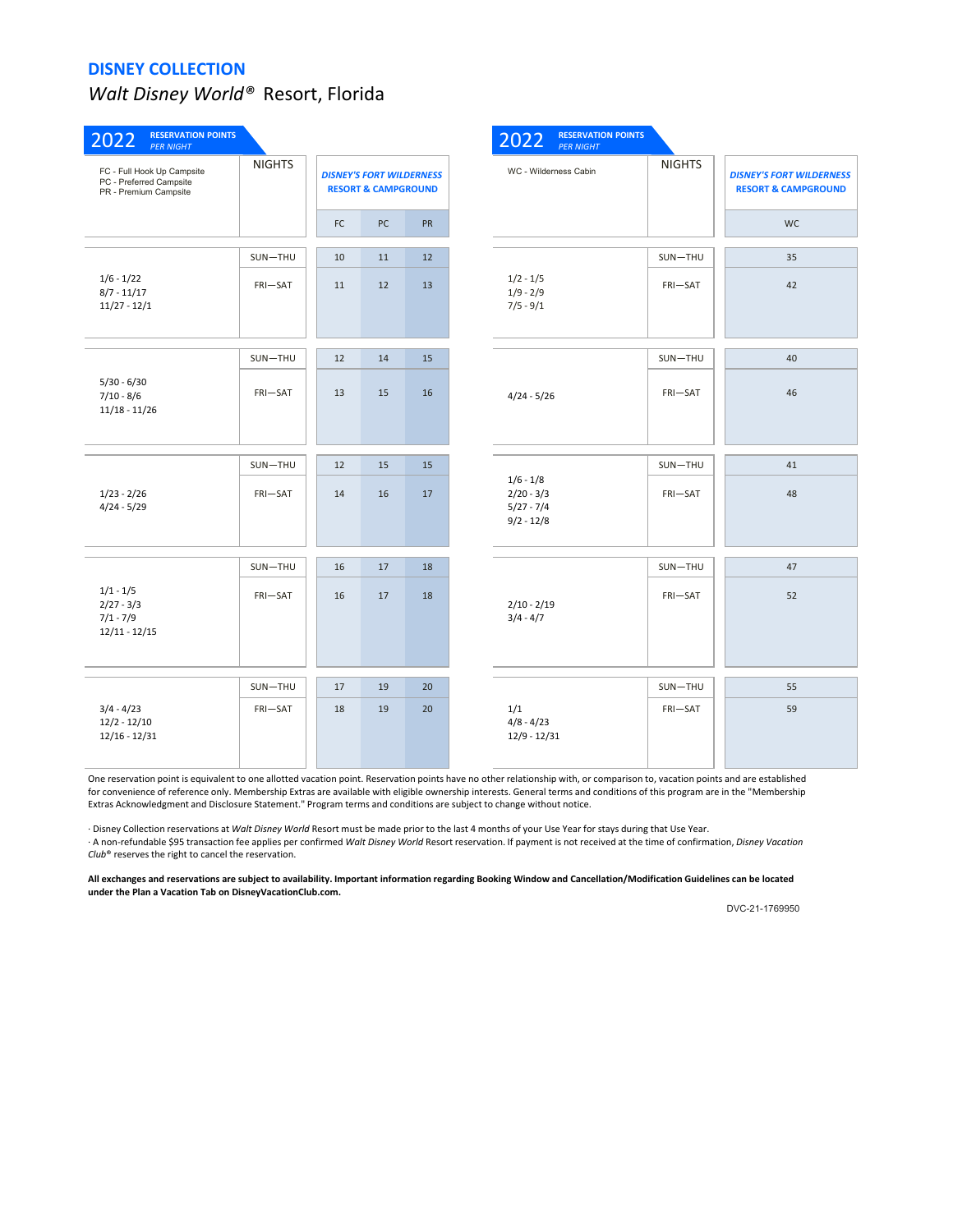# *Walt Disney World®* Resort, Florida

| <b>RESERVATION POINTS</b><br>2022<br><b>PER NIGHT</b>                          |               |    |                                                                   |           | 2022                                                        | <b>RESERVATION POINTS</b><br><b>PER NIGHT</b> |               |                                                                   |
|--------------------------------------------------------------------------------|---------------|----|-------------------------------------------------------------------|-----------|-------------------------------------------------------------|-----------------------------------------------|---------------|-------------------------------------------------------------------|
| FC - Full Hook Up Campsite<br>PC - Preferred Campsite<br>PR - Premium Campsite | <b>NIGHTS</b> |    | <b>DISNEY'S FORT WILDERNESS</b><br><b>RESORT &amp; CAMPGROUND</b> |           | WC - Wilderness Cabin                                       |                                               | <b>NIGHTS</b> | <b>DISNEY'S FORT WILDERNESS</b><br><b>RESORT &amp; CAMPGROUND</b> |
|                                                                                |               | FC | PC                                                                | <b>PR</b> |                                                             |                                               |               | <b>WC</b>                                                         |
|                                                                                | SUN-THU       | 10 | 11                                                                | 12        |                                                             |                                               | SUN-THU       | 35                                                                |
| $1/6 - 1/22$<br>$8/7 - 11/17$<br>$11/27 - 12/1$                                | FRI-SAT       | 11 | 12                                                                | 13        | $1/2 - 1/5$<br>$1/9 - 2/9$<br>$7/5 - 9/1$                   |                                               | FRI-SAT       | 42                                                                |
|                                                                                | SUN-THU       | 12 | 14                                                                | 15        |                                                             |                                               | SUN-THU       | 40                                                                |
| $5/30 - 6/30$<br>$7/10 - 8/6$<br>$11/18 - 11/26$                               | FRI-SAT       | 13 | 15                                                                | 16        | $4/24 - 5/26$                                               |                                               | FRI-SAT       | 46                                                                |
|                                                                                | SUN-THU       | 12 | 15                                                                | 15        |                                                             |                                               | $SUM-THU$     | 41                                                                |
| $1/23 - 2/26$<br>$4/24 - 5/29$                                                 | FRI-SAT       | 14 | 16                                                                | 17        | $1/6 - 1/8$<br>$2/20 - 3/3$<br>$5/27 - 7/4$<br>$9/2 - 12/8$ |                                               | FRI-SAT       | 48                                                                |
|                                                                                | SUN-THU       | 16 | 17                                                                | 18        |                                                             |                                               | SUN-THU       | 47                                                                |
| $1/1 - 1/5$<br>$2/27 - 3/3$<br>$7/1 - 7/9$<br>$12/11 - 12/15$                  | FRI-SAT       | 16 | 17                                                                | 18        | $2/10 - 2/19$<br>$3/4 - 4/7$                                |                                               | FRI-SAT       | 52                                                                |
|                                                                                | SUN-THU       | 17 | 19                                                                | 20        |                                                             |                                               | SUN-THU       | 55                                                                |
| $3/4 - 4/23$<br>$12/2 - 12/10$<br>$12/16 - 12/31$                              | FRI-SAT       | 18 | 19                                                                | 20        | 1/1<br>$4/8 - 4/23$<br>$12/9 - 12/31$                       |                                               | FRI-SAT       | 59                                                                |

One reservation point is equivalent to one allotted vacation point. Reservation points have no other relationship with, or comparison to, vacation points and are established for convenience of reference only. Membership Extras are available with eligible ownership interests. General terms and conditions of this program are in the "Membership Extras Acknowledgment and Disclosure Statement." Program terms and conditions are subject to change without notice.

· Disney Collection reservations at *Walt Disney World* Resort must be made prior to the last 4 months of your Use Year for stays during that Use Year. · A non-refundable \$95 transaction fee applies per confirmed *Walt Disney World* Resort reservation. If payment is not received at the time of confirmation, *Disney Vacation Club*® reserves the right to cancel the reservation.

**All exchanges and reservations are subject to availability. Important information regarding Booking Window and Cancellation/Modification Guidelines can be located under the Plan a Vacation Tab on DisneyVacationClub.com.**

DVC-21-1769950